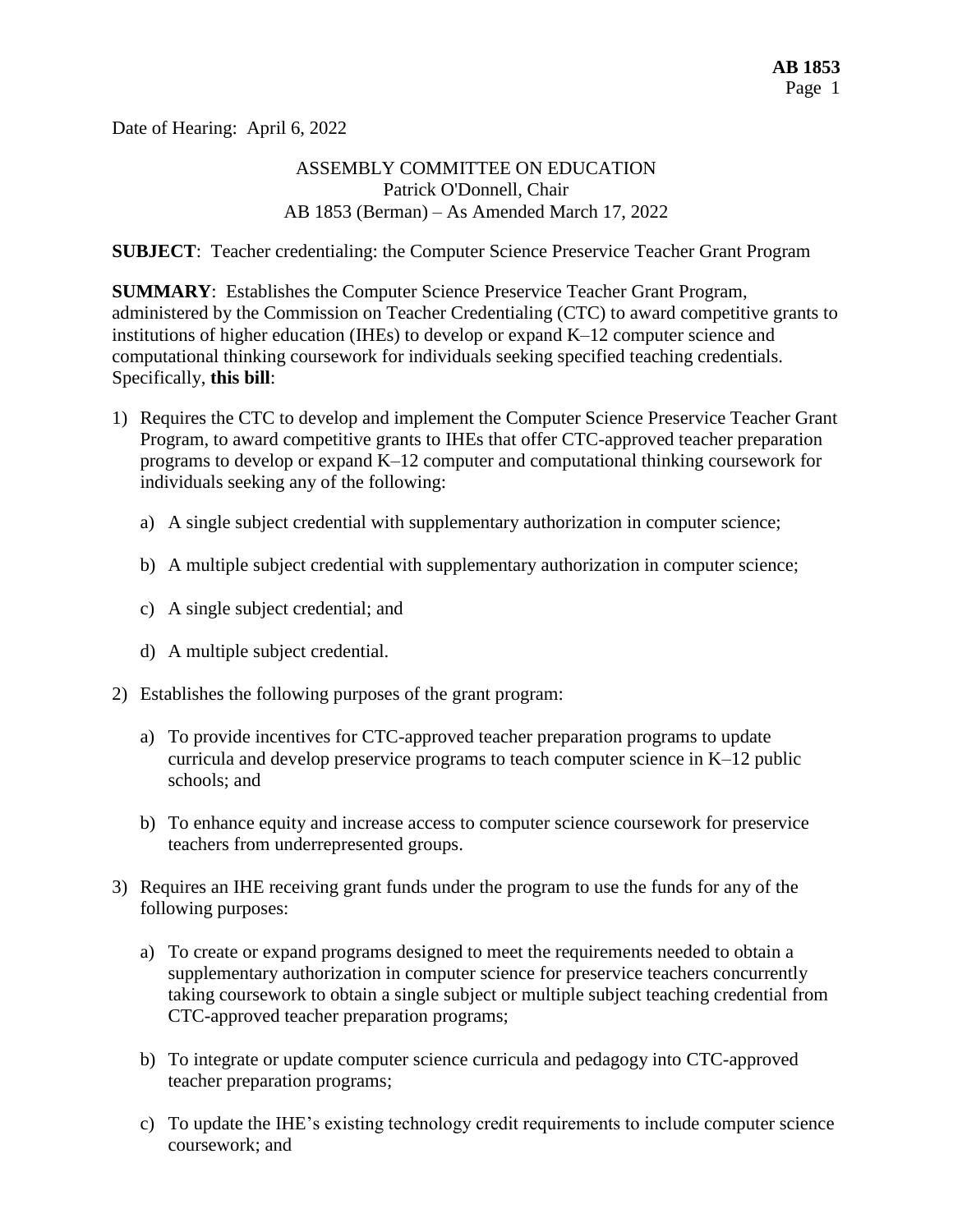Date of Hearing: April 6, 2022

### ASSEMBLY COMMITTEE ON EDUCATION Patrick O'Donnell, Chair AB 1853 (Berman) – As Amended March 17, 2022

**SUBJECT**: Teacher credentialing: the Computer Science Preservice Teacher Grant Program

**SUMMARY**: Establishes the Computer Science Preservice Teacher Grant Program, administered by the Commission on Teacher Credentialing (CTC) to award competitive grants to institutions of higher education (IHEs) to develop or expand K–12 computer science and computational thinking coursework for individuals seeking specified teaching credentials. Specifically, **this bill**:

- 1) Requires the CTC to develop and implement the Computer Science Preservice Teacher Grant Program, to award competitive grants to IHEs that offer CTC-approved teacher preparation programs to develop or expand K–12 computer and computational thinking coursework for individuals seeking any of the following:
	- a) A single subject credential with supplementary authorization in computer science;
	- b) A multiple subject credential with supplementary authorization in computer science;
	- c) A single subject credential; and
	- d) A multiple subject credential.
- 2) Establishes the following purposes of the grant program:
	- a) To provide incentives for CTC-approved teacher preparation programs to update curricula and develop preservice programs to teach computer science in K–12 public schools; and
	- b) To enhance equity and increase access to computer science coursework for preservice teachers from underrepresented groups.
- 3) Requires an IHE receiving grant funds under the program to use the funds for any of the following purposes:
	- a) To create or expand programs designed to meet the requirements needed to obtain a supplementary authorization in computer science for preservice teachers concurrently taking coursework to obtain a single subject or multiple subject teaching credential from CTC-approved teacher preparation programs;
	- b) To integrate or update computer science curricula and pedagogy into CTC-approved teacher preparation programs;
	- c) To update the IHE's existing technology credit requirements to include computer science coursework; and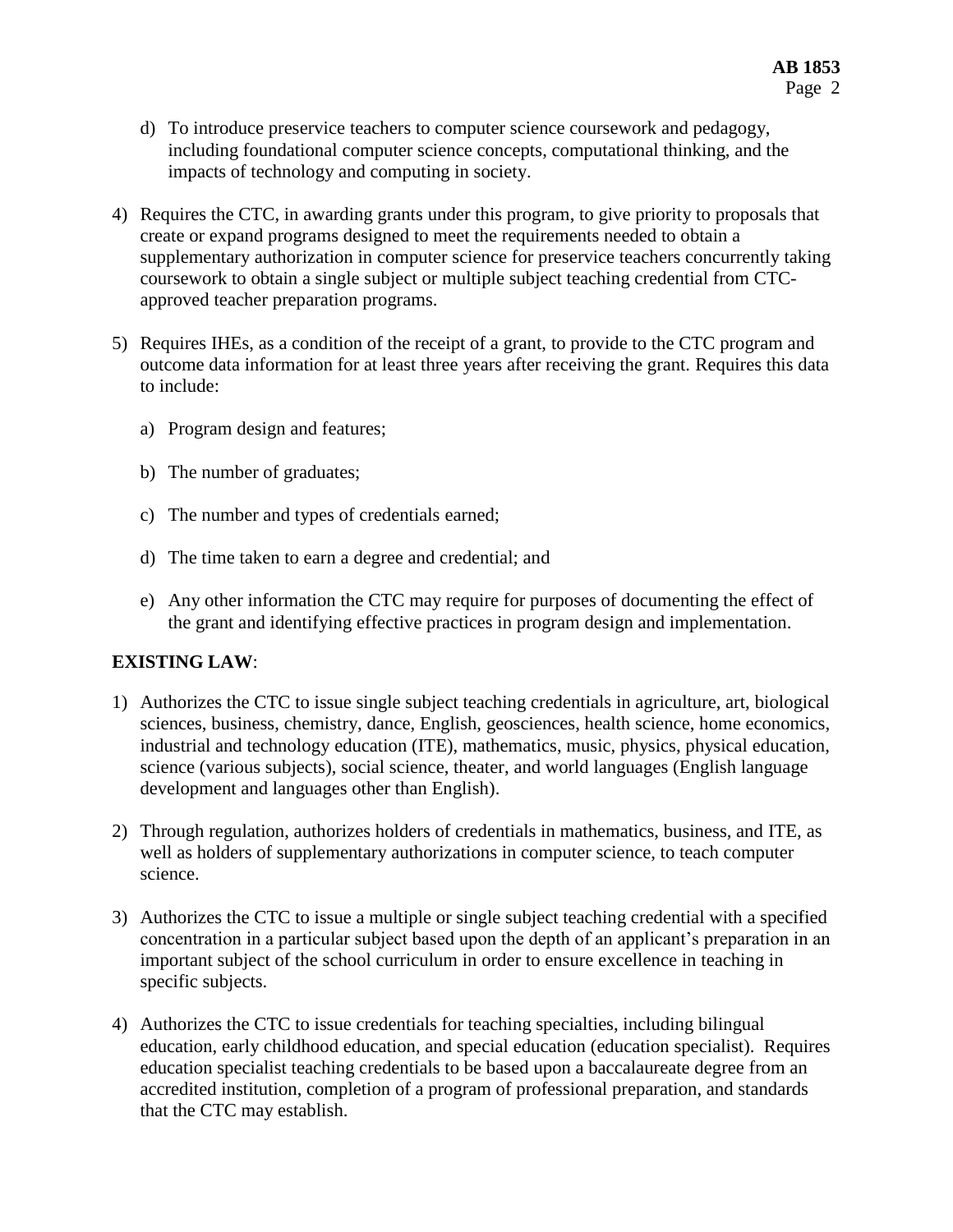- d) To introduce preservice teachers to computer science coursework and pedagogy, including foundational computer science concepts, computational thinking, and the impacts of technology and computing in society.
- 4) Requires the CTC, in awarding grants under this program, to give priority to proposals that create or expand programs designed to meet the requirements needed to obtain a supplementary authorization in computer science for preservice teachers concurrently taking coursework to obtain a single subject or multiple subject teaching credential from CTCapproved teacher preparation programs.
- 5) Requires IHEs, as a condition of the receipt of a grant, to provide to the CTC program and outcome data information for at least three years after receiving the grant. Requires this data to include:
	- a) Program design and features;
	- b) The number of graduates;
	- c) The number and types of credentials earned;
	- d) The time taken to earn a degree and credential; and
	- e) Any other information the CTC may require for purposes of documenting the effect of the grant and identifying effective practices in program design and implementation.

## **EXISTING LAW**:

- 1) Authorizes the CTC to issue single subject teaching credentials in agriculture, art, biological sciences, business, chemistry, dance, English, geosciences, health science, home economics, industrial and technology education (ITE), mathematics, music, physics, physical education, science (various subjects), social science, theater, and world languages (English language development and languages other than English).
- 2) Through regulation, authorizes holders of credentials in mathematics, business, and ITE, as well as holders of supplementary authorizations in computer science, to teach computer science.
- 3) Authorizes the CTC to issue a multiple or single subject teaching credential with a specified concentration in a particular subject based upon the depth of an applicant's preparation in an important subject of the school curriculum in order to ensure excellence in teaching in specific subjects.
- 4) Authorizes the CTC to issue credentials for teaching specialties, including bilingual education, early childhood education, and special education (education specialist). Requires education specialist teaching credentials to be based upon a baccalaureate degree from an accredited institution, completion of a program of professional preparation, and standards that the CTC may establish.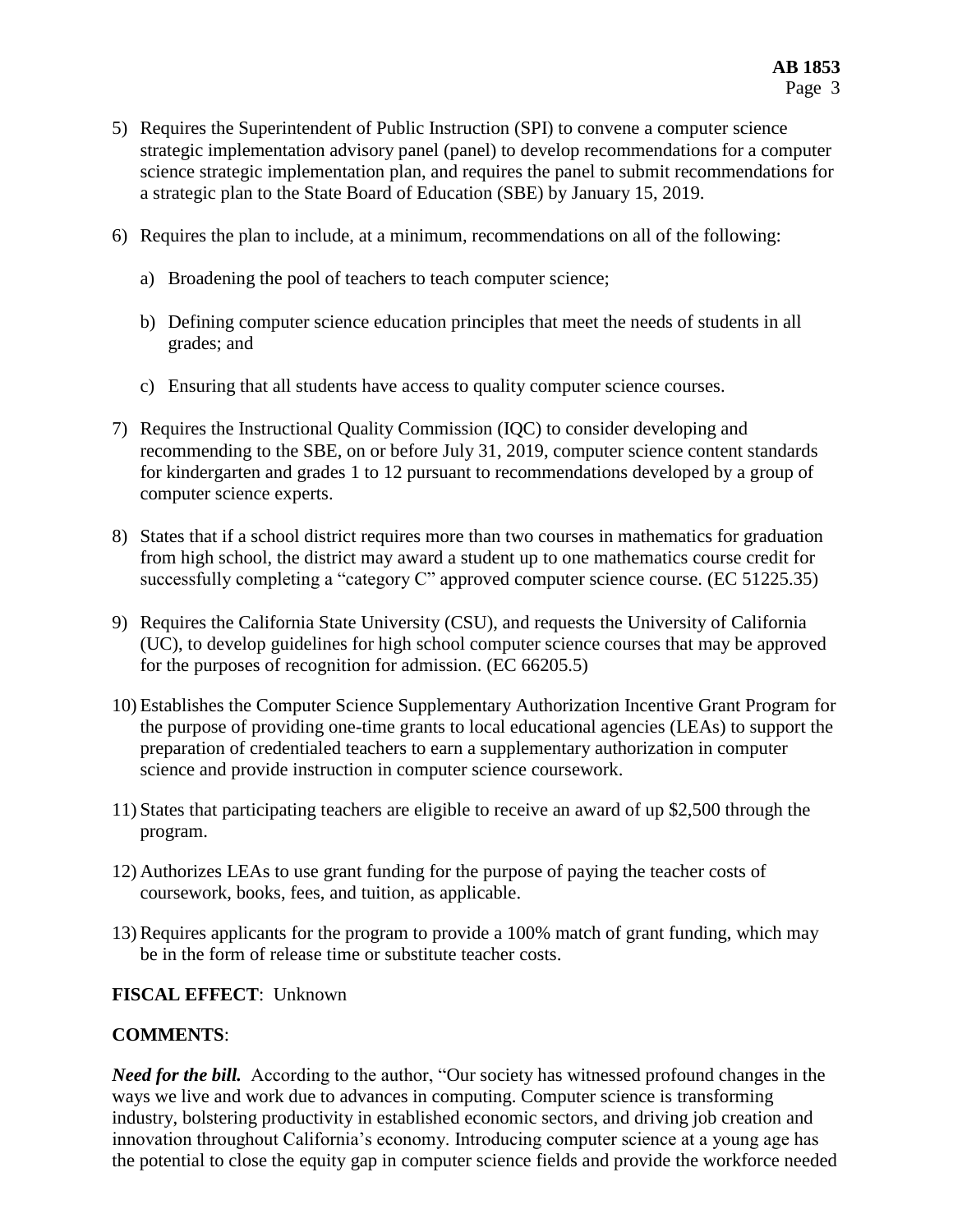- 5) Requires the Superintendent of Public Instruction (SPI) to convene a computer science strategic implementation advisory panel (panel) to develop recommendations for a computer science strategic implementation plan, and requires the panel to submit recommendations for a strategic plan to the State Board of Education (SBE) by January 15, 2019.
- 6) Requires the plan to include, at a minimum, recommendations on all of the following:
	- a) Broadening the pool of teachers to teach computer science;
	- b) Defining computer science education principles that meet the needs of students in all grades; and
	- c) Ensuring that all students have access to quality computer science courses.
- 7) Requires the Instructional Quality Commission (IQC) to consider developing and recommending to the SBE, on or before July 31, 2019, computer science content standards for kindergarten and grades 1 to 12 pursuant to recommendations developed by a group of computer science experts.
- 8) States that if a school district requires more than two courses in mathematics for graduation from high school, the district may award a student up to one mathematics course credit for successfully completing a "category C" approved computer science course. (EC 51225.35)
- 9) Requires the California State University (CSU), and requests the University of California (UC), to develop guidelines for high school computer science courses that may be approved for the purposes of recognition for admission. (EC 66205.5)
- 10) Establishes the Computer Science Supplementary Authorization Incentive Grant Program for the purpose of providing one-time grants to local educational agencies (LEAs) to support the preparation of credentialed teachers to earn a supplementary authorization in computer science and provide instruction in computer science coursework.
- 11) States that participating teachers are eligible to receive an award of up \$2,500 through the program.
- 12) Authorizes LEAs to use grant funding for the purpose of paying the teacher costs of coursework, books, fees, and tuition, as applicable.
- 13) Requires applicants for the program to provide a 100% match of grant funding, which may be in the form of release time or substitute teacher costs.

## **FISCAL EFFECT**: Unknown

## **COMMENTS**:

*Need for the bill.* According to the author, "Our society has witnessed profound changes in the ways we live and work due to advances in computing. Computer science is transforming industry, bolstering productivity in established economic sectors, and driving job creation and innovation throughout California's economy. Introducing computer science at a young age has the potential to close the equity gap in computer science fields and provide the workforce needed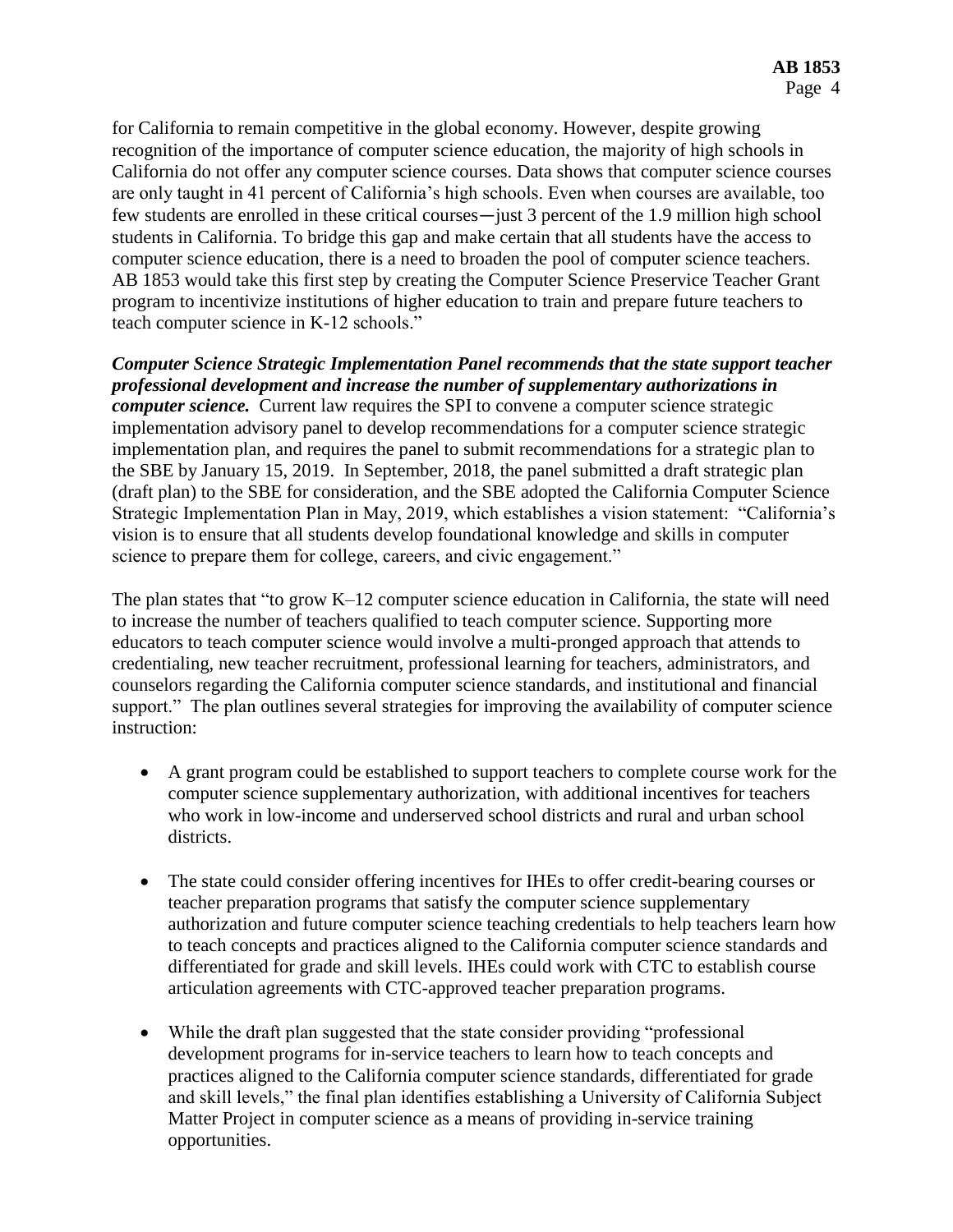for California to remain competitive in the global economy. However, despite growing recognition of the importance of computer science education, the majority of high schools in California do not offer any computer science courses. Data shows that computer science courses are only taught in 41 percent of California's high schools. Even when courses are available, too few students are enrolled in these critical courses—just 3 percent of the 1.9 million high school students in California. To bridge this gap and make certain that all students have the access to computer science education, there is a need to broaden the pool of computer science teachers. AB 1853 would take this first step by creating the Computer Science Preservice Teacher Grant program to incentivize institutions of higher education to train and prepare future teachers to teach computer science in K-12 schools."

*Computer Science Strategic Implementation Panel recommends that the state support teacher professional development and increase the number of supplementary authorizations in computer science.* Current law requires the SPI to convene a computer science strategic implementation advisory panel to develop recommendations for a computer science strategic implementation plan, and requires the panel to submit recommendations for a strategic plan to the SBE by January 15, 2019. In September, 2018, the panel submitted a draft strategic plan (draft plan) to the SBE for consideration, and the SBE adopted the California Computer Science Strategic Implementation Plan in May, 2019, which establishes a vision statement: "California's vision is to ensure that all students develop foundational knowledge and skills in computer science to prepare them for college, careers, and civic engagement."

The plan states that "to grow K–12 computer science education in California, the state will need to increase the number of teachers qualified to teach computer science. Supporting more educators to teach computer science would involve a multi-pronged approach that attends to credentialing, new teacher recruitment, professional learning for teachers, administrators, and counselors regarding the California computer science standards, and institutional and financial support." The plan outlines several strategies for improving the availability of computer science instruction:

- A grant program could be established to support teachers to complete course work for the computer science supplementary authorization, with additional incentives for teachers who work in low-income and underserved school districts and rural and urban school districts.
- The state could consider offering incentives for IHEs to offer credit-bearing courses or teacher preparation programs that satisfy the computer science supplementary authorization and future computer science teaching credentials to help teachers learn how to teach concepts and practices aligned to the California computer science standards and differentiated for grade and skill levels. IHEs could work with CTC to establish course articulation agreements with CTC-approved teacher preparation programs.
- While the draft plan suggested that the state consider providing "professional development programs for in-service teachers to learn how to teach concepts and practices aligned to the California computer science standards, differentiated for grade and skill levels," the final plan identifies establishing a University of California Subject Matter Project in computer science as a means of providing in-service training opportunities.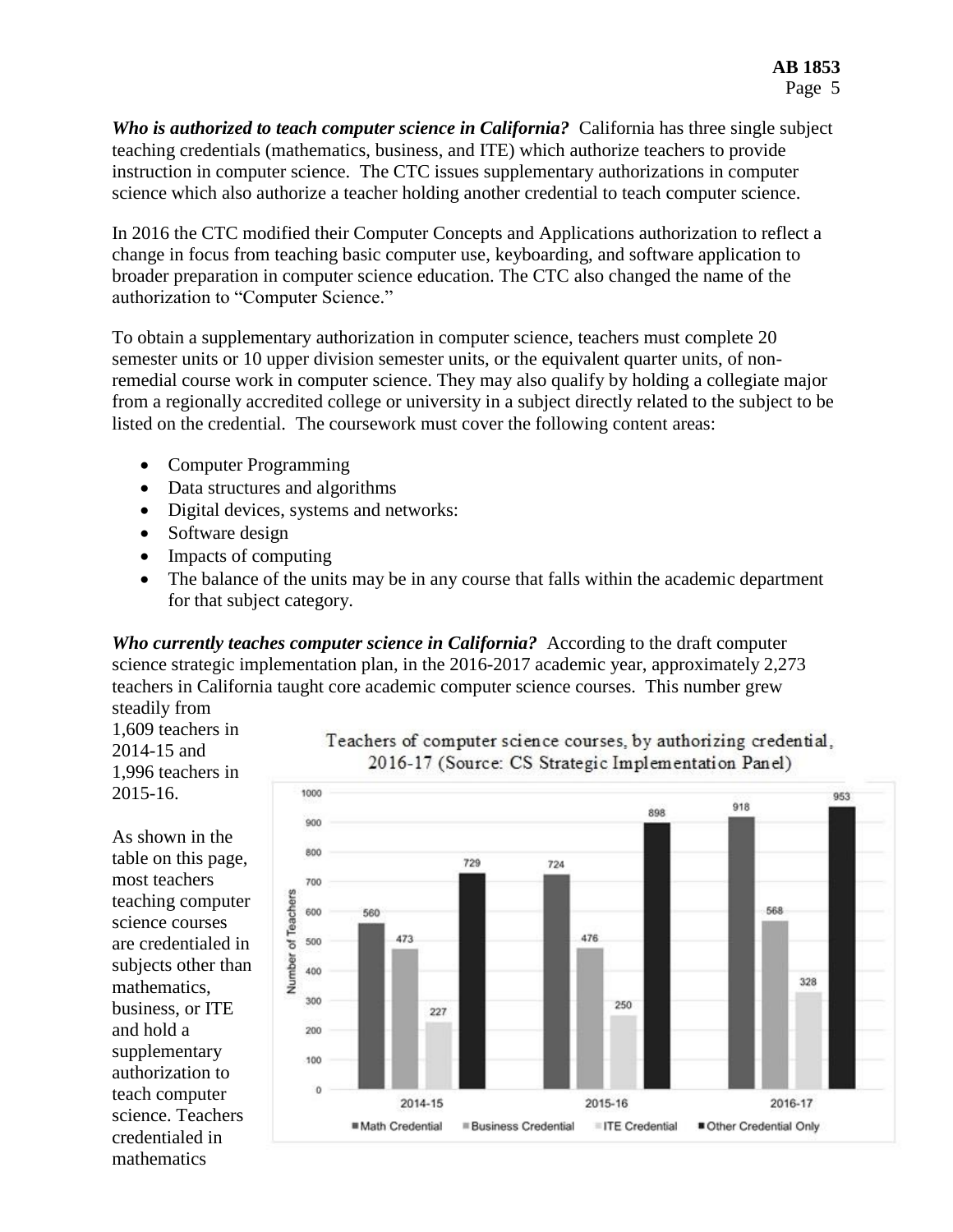*Who is authorized to teach computer science in California?* California has three single subject teaching credentials (mathematics, business, and ITE) which authorize teachers to provide instruction in computer science. The CTC issues supplementary authorizations in computer science which also authorize a teacher holding another credential to teach computer science.

In 2016 the CTC modified their Computer Concepts and Applications authorization to reflect a change in focus from teaching basic computer use, keyboarding, and software application to broader preparation in computer science education. The CTC also changed the name of the authorization to "Computer Science."

To obtain a supplementary authorization in computer science, teachers must complete 20 semester units or 10 upper division semester units, or the equivalent quarter units, of nonremedial course work in computer science. They may also qualify by holding a collegiate major from a regionally accredited college or university in a subject directly related to the subject to be listed on the credential. The coursework must cover the following content areas:

- Computer Programming
- Data structures and algorithms
- Digital devices, systems and networks:
- Software design
- Impacts of computing
- The balance of the units may be in any course that falls within the academic department for that subject category.

*Who currently teaches computer science in California?* According to the draft computer science strategic implementation plan, in the 2016-2017 academic year, approximately 2,273 teachers in California taught core academic computer science courses. This number grew steadily from

1,609 teachers in 2014-15 and 1,996 teachers in 2015-16.

As shown in the table on this page, most teachers teaching computer science courses are credentialed in subjects other than mathematics, business, or ITE and hold a supplementary authorization to teach computer science. Teachers credentialed in mathematics



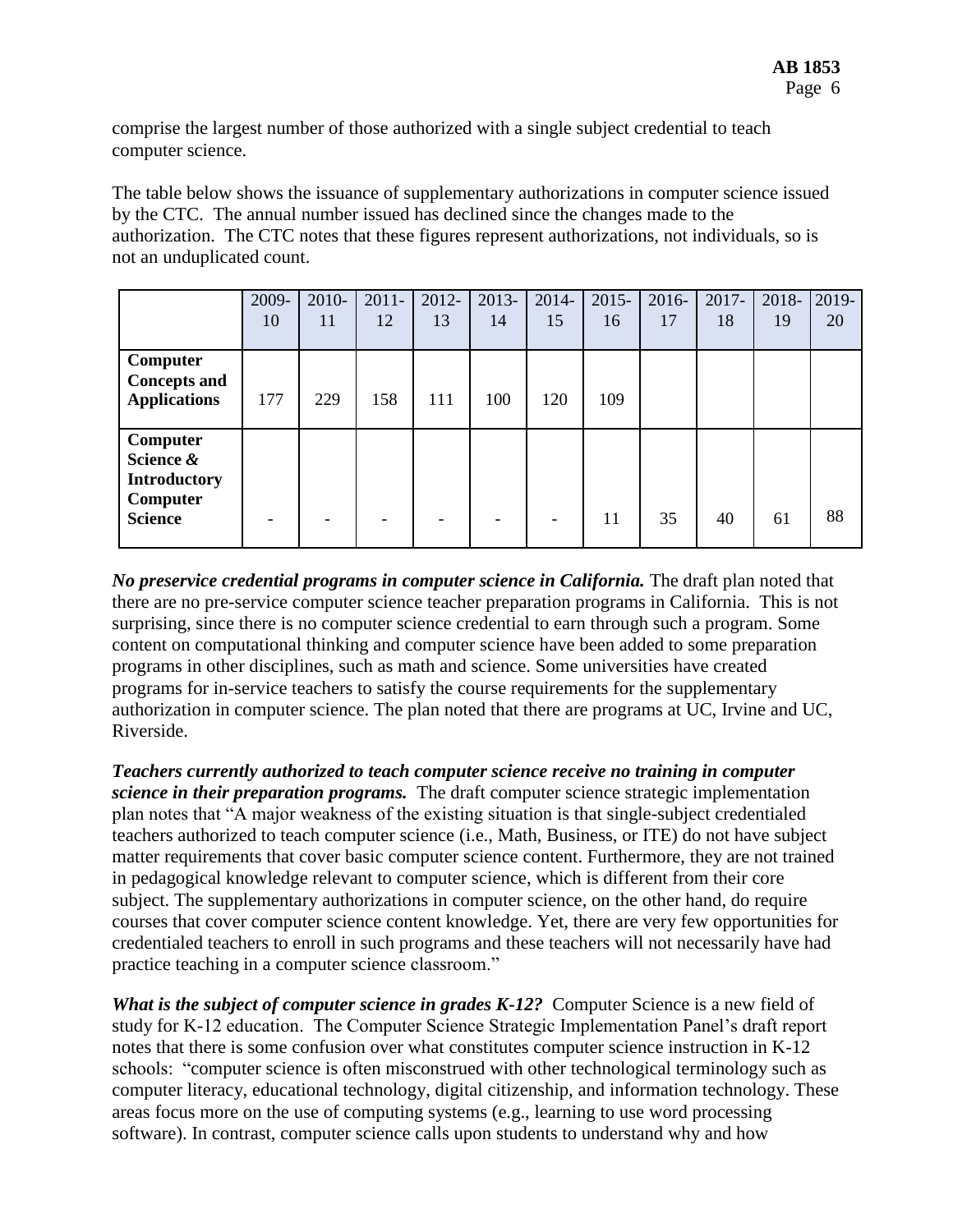comprise the largest number of those authorized with a single subject credential to teach computer science.

The table below shows the issuance of supplementary authorizations in computer science issued by the CTC. The annual number issued has declined since the changes made to the authorization. The CTC notes that these figures represent authorizations, not individuals, so is not an unduplicated count.

|                                                                            | 2009-<br>10 | $2010 -$<br>11 | $2011 -$<br>12 | $2012 -$<br>13 | 2013-<br>14 | 2014-<br>15 | $2015 -$<br>16 | $2016 -$<br>17 | $2017 -$<br>18 | 2018-<br>19 | 2019-<br>20 |
|----------------------------------------------------------------------------|-------------|----------------|----------------|----------------|-------------|-------------|----------------|----------------|----------------|-------------|-------------|
| Computer<br><b>Concepts and</b><br><b>Applications</b>                     | 177         | 229            | 158            | 111            | 100         | 120         | 109            |                |                |             |             |
| Computer<br>Science &<br><b>Introductory</b><br>Computer<br><b>Science</b> |             |                |                |                |             |             | 11             | 35             | 40             | 61          | 88          |

*No preservice credential programs in computer science in California.* The draft plan noted that there are no pre-service computer science teacher preparation programs in California. This is not surprising, since there is no computer science credential to earn through such a program. Some content on computational thinking and computer science have been added to some preparation programs in other disciplines, such as math and science. Some universities have created programs for in-service teachers to satisfy the course requirements for the supplementary authorization in computer science. The plan noted that there are programs at UC, Irvine and UC, Riverside.

*Teachers currently authorized to teach computer science receive no training in computer science in their preparation programs.* The draft computer science strategic implementation plan notes that "A major weakness of the existing situation is that single-subject credentialed teachers authorized to teach computer science (i.e., Math, Business, or ITE) do not have subject matter requirements that cover basic computer science content. Furthermore, they are not trained in pedagogical knowledge relevant to computer science, which is different from their core subject. The supplementary authorizations in computer science, on the other hand, do require courses that cover computer science content knowledge. Yet, there are very few opportunities for credentialed teachers to enroll in such programs and these teachers will not necessarily have had practice teaching in a computer science classroom."

*What is the subject of computer science in grades K-12?* Computer Science is a new field of study for K-12 education. The Computer Science Strategic Implementation Panel's draft report notes that there is some confusion over what constitutes computer science instruction in K-12 schools: "computer science is often misconstrued with other technological terminology such as computer literacy, educational technology, digital citizenship, and information technology. These areas focus more on the use of computing systems (e.g., learning to use word processing software). In contrast, computer science calls upon students to understand why and how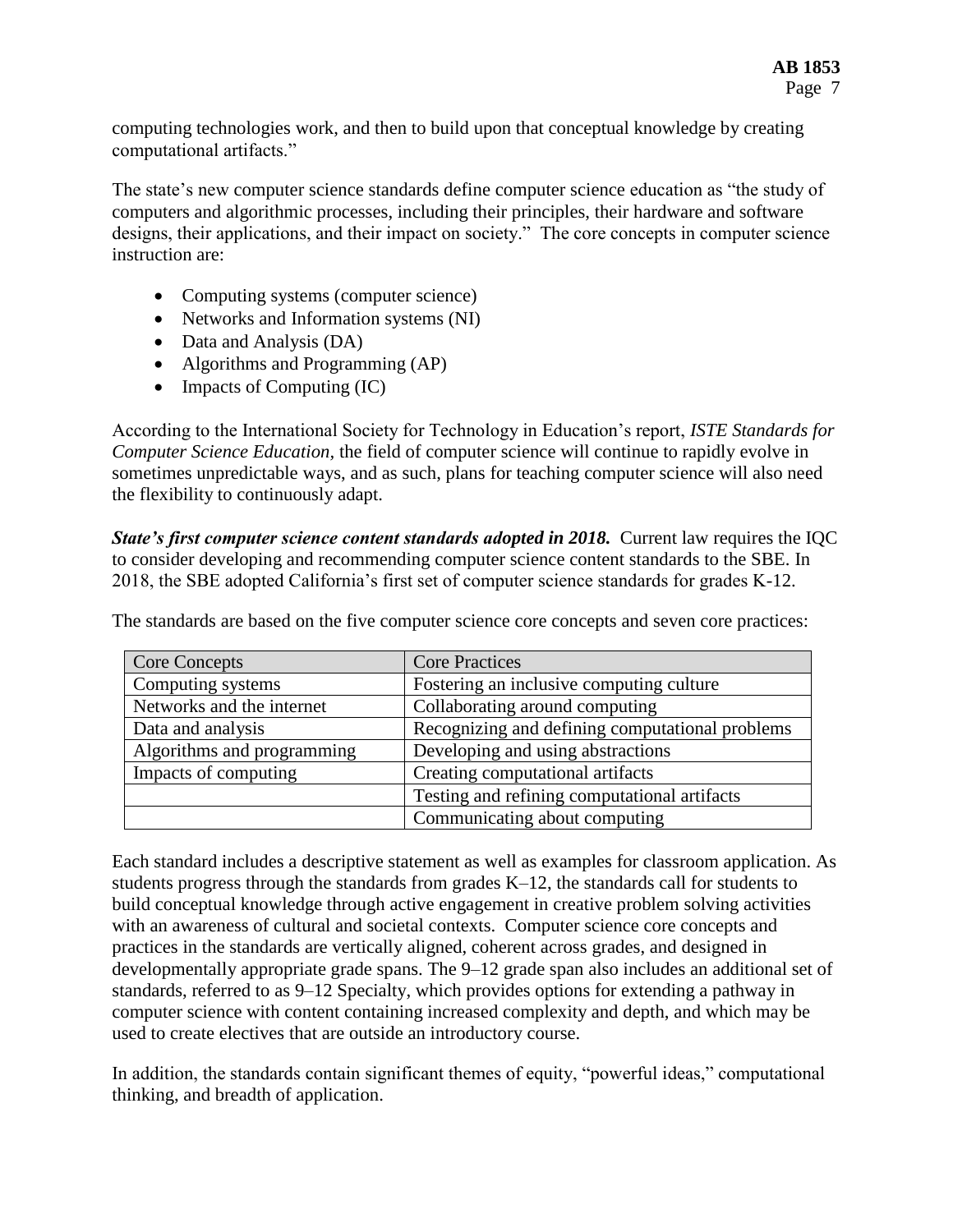computing technologies work, and then to build upon that conceptual knowledge by creating computational artifacts."

The state's new computer science standards define computer science education as "the study of computers and algorithmic processes, including their principles, their hardware and software designs, their applications, and their impact on society." The core concepts in computer science instruction are:

- Computing systems (computer science)
- Networks and Information systems (NI)
- Data and Analysis (DA)
- Algorithms and Programming (AP)
- $\bullet$  Impacts of Computing (IC)

According to the International Society for Technology in Education's report, *ISTE Standards for Computer Science Education,* the field of computer science will continue to rapidly evolve in sometimes unpredictable ways, and as such, plans for teaching computer science will also need the flexibility to continuously adapt.

*State's first computer science content standards adopted in 2018.* **Current law requires the IQC** to consider developing and recommending computer science content standards to the SBE. In 2018, the SBE adopted California's first set of computer science standards for grades K-12.

| <b>Core Concepts</b>       | <b>Core Practices</b>                           |  |  |  |  |
|----------------------------|-------------------------------------------------|--|--|--|--|
| Computing systems          | Fostering an inclusive computing culture        |  |  |  |  |
| Networks and the internet  | Collaborating around computing                  |  |  |  |  |
| Data and analysis          | Recognizing and defining computational problems |  |  |  |  |
| Algorithms and programming | Developing and using abstractions               |  |  |  |  |
| Impacts of computing       | Creating computational artifacts                |  |  |  |  |
|                            | Testing and refining computational artifacts    |  |  |  |  |
|                            | Communicating about computing                   |  |  |  |  |

The standards are based on the five computer science core concepts and seven core practices:

Each standard includes a descriptive statement as well as examples for classroom application. As students progress through the standards from grades K–12, the standards call for students to build conceptual knowledge through active engagement in creative problem solving activities with an awareness of cultural and societal contexts. Computer science core concepts and practices in the standards are vertically aligned, coherent across grades, and designed in developmentally appropriate grade spans. The 9–12 grade span also includes an additional set of standards, referred to as 9–12 Specialty, which provides options for extending a pathway in computer science with content containing increased complexity and depth, and which may be used to create electives that are outside an introductory course.

In addition, the standards contain significant themes of equity, "powerful ideas," computational thinking, and breadth of application.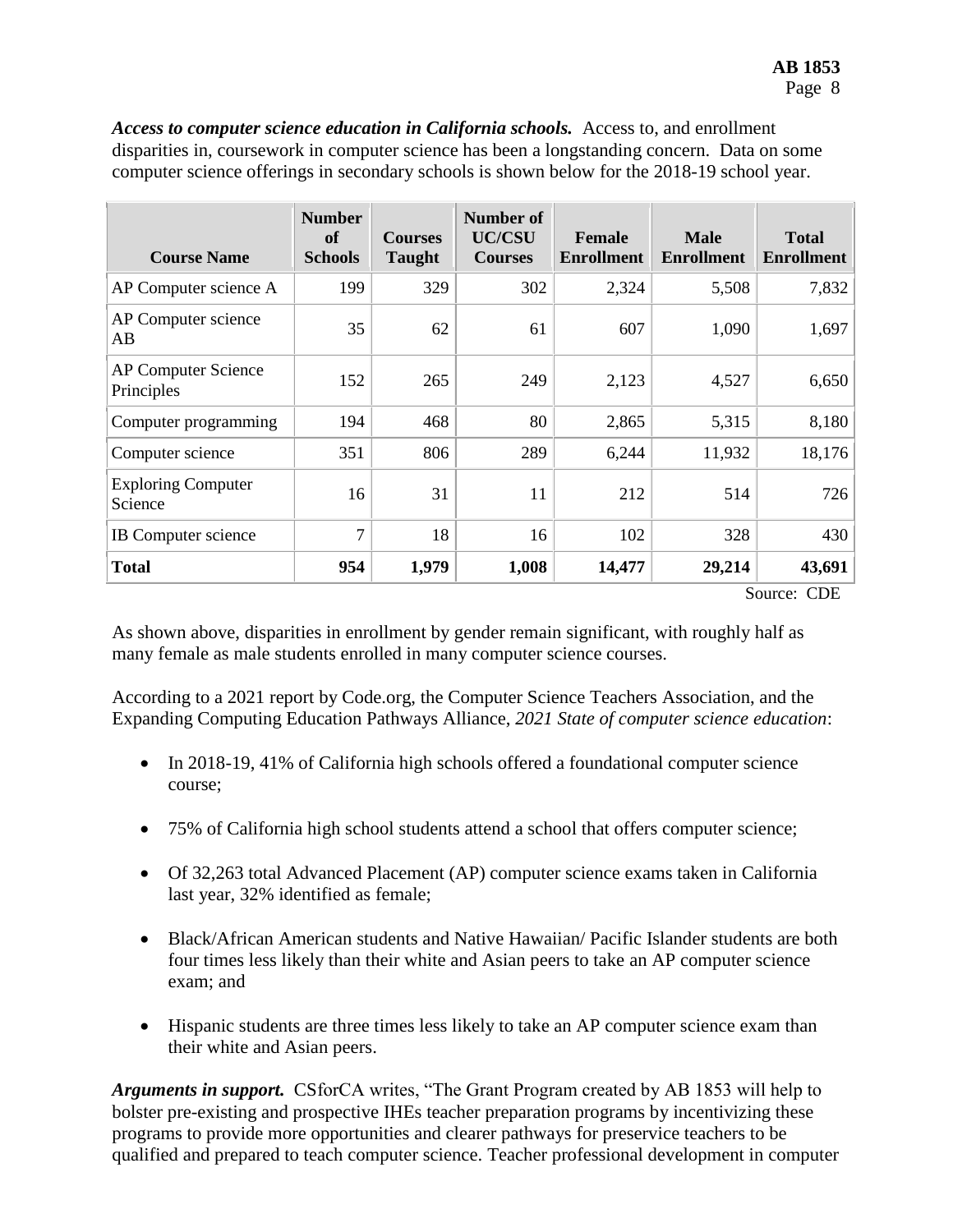| <b>Course Name</b>                       | <b>Number</b><br><b>of</b><br><b>Schools</b> | <b>Courses</b><br><b>Taught</b> | Number of<br><b>UC/CSU</b><br><b>Courses</b> | Female<br><b>Enrollment</b> | <b>Male</b><br><b>Enrollment</b> | <b>Total</b><br><b>Enrollment</b> |  |  |
|------------------------------------------|----------------------------------------------|---------------------------------|----------------------------------------------|-----------------------------|----------------------------------|-----------------------------------|--|--|
| AP Computer science A                    | 199                                          | 329                             | 302                                          | 2,324                       | 5,508                            | 7,832                             |  |  |
| AP Computer science<br>AB                | 35                                           | 62                              | 61                                           | 607                         | 1,090                            | 1,697                             |  |  |
| <b>AP Computer Science</b><br>Principles | 152                                          | 265                             | 249                                          | 2,123                       | 4,527                            | 6,650                             |  |  |
| Computer programming                     | 194                                          | 468                             | 80                                           | 2,865                       | 5,315                            | 8,180                             |  |  |
| Computer science                         | 351                                          | 806                             | 289                                          | 6,244                       | 11,932                           | 18,176                            |  |  |
| <b>Exploring Computer</b><br>Science     | 16                                           | 31                              | 11                                           | 212                         | 514                              | 726                               |  |  |
| <b>IB</b> Computer science               | $\tau$                                       | 18                              | 16                                           | 102                         | 328                              | 430                               |  |  |
| <b>Total</b>                             | 954                                          | 1,979                           | 1,008                                        | 14,477                      | 29,214                           | 43,691                            |  |  |
| $C_{\text{oumon}}$ $CDD$                 |                                              |                                 |                                              |                             |                                  |                                   |  |  |

*Access to computer science education in California schools.* Access to, and enrollment disparities in, coursework in computer science has been a longstanding concern. Data on some computer science offerings in secondary schools is shown below for the 2018-19 school year.

Source: CDE

As shown above, disparities in enrollment by gender remain significant, with roughly half as many female as male students enrolled in many computer science courses.

According to a 2021 report by Code.org, the Computer Science Teachers Association, and the Expanding Computing Education Pathways Alliance, *2021 State of computer science education*:

- In 2018-19, 41% of California high schools offered a foundational computer science course;
- 75% of California high school students attend a school that offers computer science;
- Of 32,263 total Advanced Placement (AP) computer science exams taken in California last year, 32% identified as female;
- Black/African American students and Native Hawaiian/ Pacific Islander students are both four times less likely than their white and Asian peers to take an AP computer science exam; and
- Hispanic students are three times less likely to take an AP computer science exam than their white and Asian peers.

*Arguments in support.* CSforCA writes, "The Grant Program created by AB 1853 will help to bolster pre-existing and prospective IHEs teacher preparation programs by incentivizing these programs to provide more opportunities and clearer pathways for preservice teachers to be qualified and prepared to teach computer science. Teacher professional development in computer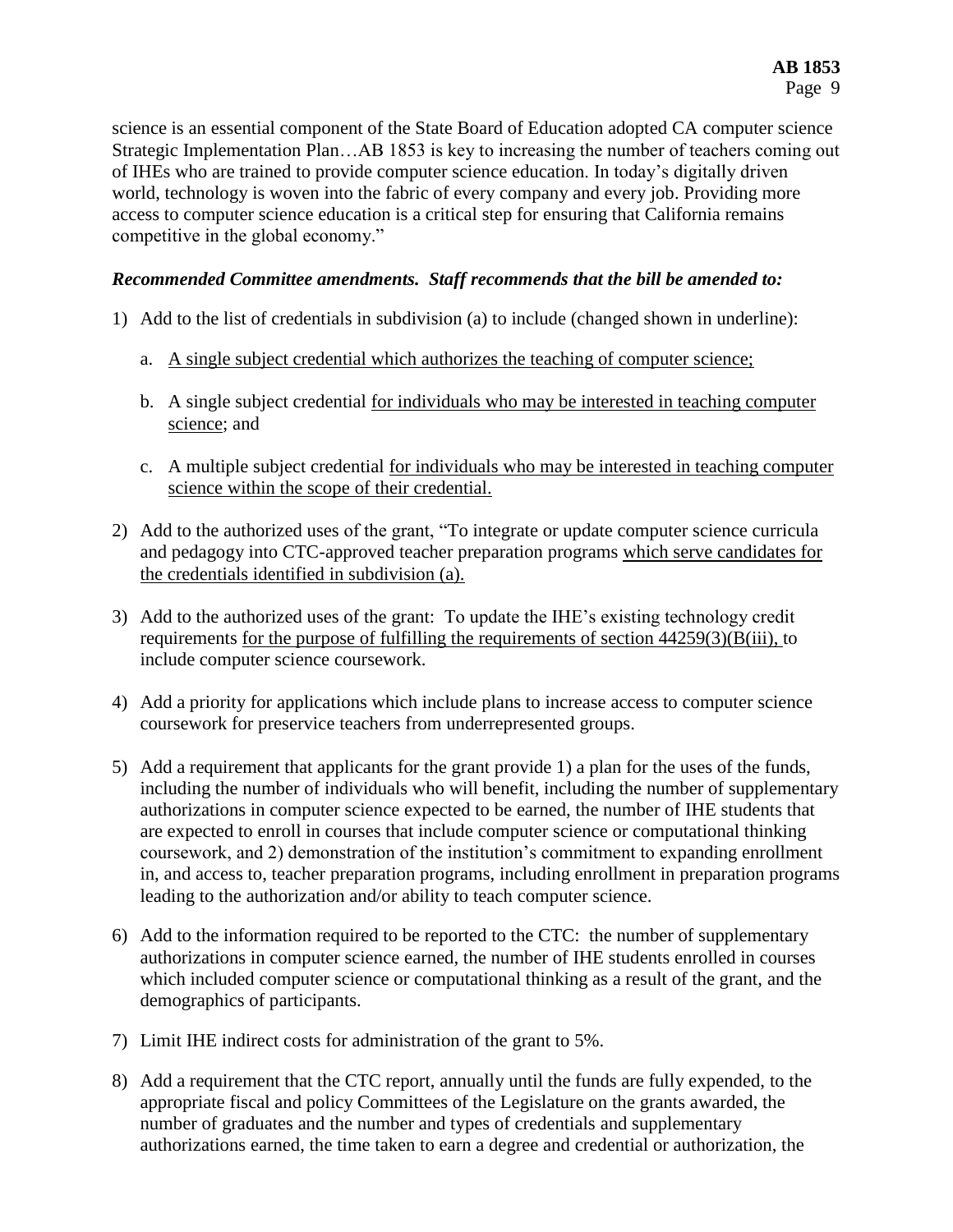science is an essential component of the State Board of Education adopted CA computer science Strategic Implementation Plan…AB 1853 is key to increasing the number of teachers coming out of IHEs who are trained to provide computer science education. In today's digitally driven world, technology is woven into the fabric of every company and every job. Providing more access to computer science education is a critical step for ensuring that California remains competitive in the global economy."

#### *Recommended Committee amendments. Staff recommends that the bill be amended to:*

- 1) Add to the list of credentials in subdivision (a) to include (changed shown in underline):
	- a. A single subject credential which authorizes the teaching of computer science;
	- b. A single subject credential for individuals who may be interested in teaching computer science; and
	- c. A multiple subject credential for individuals who may be interested in teaching computer science within the scope of their credential.
- 2) Add to the authorized uses of the grant, "To integrate or update computer science curricula and pedagogy into CTC-approved teacher preparation programs which serve candidates for the credentials identified in subdivision (a).
- 3) Add to the authorized uses of the grant: To update the IHE's existing technology credit requirements for the purpose of fulfilling the requirements of section 44259(3)(B(iii), to include computer science coursework.
- 4) Add a priority for applications which include plans to increase access to computer science coursework for preservice teachers from underrepresented groups.
- 5) Add a requirement that applicants for the grant provide 1) a plan for the uses of the funds, including the number of individuals who will benefit, including the number of supplementary authorizations in computer science expected to be earned, the number of IHE students that are expected to enroll in courses that include computer science or computational thinking coursework, and 2) demonstration of the institution's commitment to expanding enrollment in, and access to, teacher preparation programs, including enrollment in preparation programs leading to the authorization and/or ability to teach computer science.
- 6) Add to the information required to be reported to the CTC: the number of supplementary authorizations in computer science earned, the number of IHE students enrolled in courses which included computer science or computational thinking as a result of the grant, and the demographics of participants.
- 7) Limit IHE indirect costs for administration of the grant to 5%.
- 8) Add a requirement that the CTC report, annually until the funds are fully expended, to the appropriate fiscal and policy Committees of the Legislature on the grants awarded, the number of graduates and the number and types of credentials and supplementary authorizations earned, the time taken to earn a degree and credential or authorization, the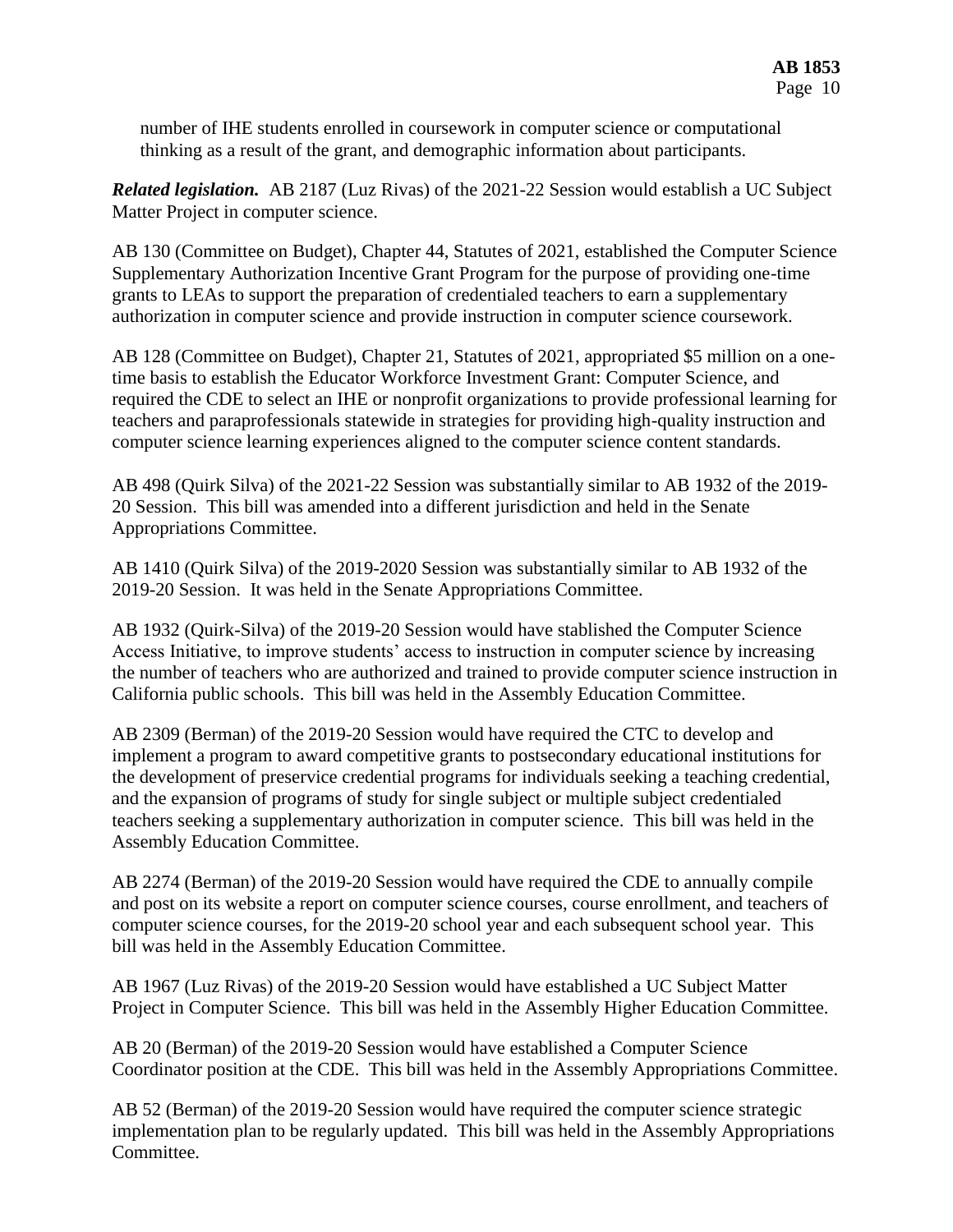number of IHE students enrolled in coursework in computer science or computational thinking as a result of the grant, and demographic information about participants.

*Related legislation.* AB 2187 (Luz Rivas) of the 2021-22 Session would establish a UC Subject Matter Project in computer science.

AB 130 (Committee on Budget), Chapter 44, Statutes of 2021, established the Computer Science Supplementary Authorization Incentive Grant Program for the purpose of providing one-time grants to LEAs to support the preparation of credentialed teachers to earn a supplementary authorization in computer science and provide instruction in computer science coursework.

AB 128 (Committee on Budget), Chapter 21, Statutes of 2021, appropriated \$5 million on a onetime basis to establish the Educator Workforce Investment Grant: Computer Science, and required the CDE to select an IHE or nonprofit organizations to provide professional learning for teachers and paraprofessionals statewide in strategies for providing high-quality instruction and computer science learning experiences aligned to the computer science content standards.

AB 498 (Quirk Silva) of the 2021-22 Session was substantially similar to AB 1932 of the 2019- 20 Session. This bill was amended into a different jurisdiction and held in the Senate Appropriations Committee.

AB 1410 (Quirk Silva) of the 2019-2020 Session was substantially similar to AB 1932 of the 2019-20 Session. It was held in the Senate Appropriations Committee.

AB 1932 (Quirk-Silva) of the 2019-20 Session would have stablished the Computer Science Access Initiative, to improve students' access to instruction in computer science by increasing the number of teachers who are authorized and trained to provide computer science instruction in California public schools. This bill was held in the Assembly Education Committee.

AB 2309 (Berman) of the 2019-20 Session would have required the CTC to develop and implement a program to award competitive grants to postsecondary educational institutions for the development of preservice credential programs for individuals seeking a teaching credential, and the expansion of programs of study for single subject or multiple subject credentialed teachers seeking a supplementary authorization in computer science. This bill was held in the Assembly Education Committee.

AB 2274 (Berman) of the 2019-20 Session would have required the CDE to annually compile and post on its website a report on computer science courses, course enrollment, and teachers of computer science courses, for the 2019-20 school year and each subsequent school year. This bill was held in the Assembly Education Committee.

AB 1967 (Luz Rivas) of the 2019-20 Session would have established a UC Subject Matter Project in Computer Science. This bill was held in the Assembly Higher Education Committee.

AB 20 (Berman) of the 2019-20 Session would have established a Computer Science Coordinator position at the CDE. This bill was held in the Assembly Appropriations Committee.

AB 52 (Berman) of the 2019-20 Session would have required the computer science strategic implementation plan to be regularly updated. This bill was held in the Assembly Appropriations Committee.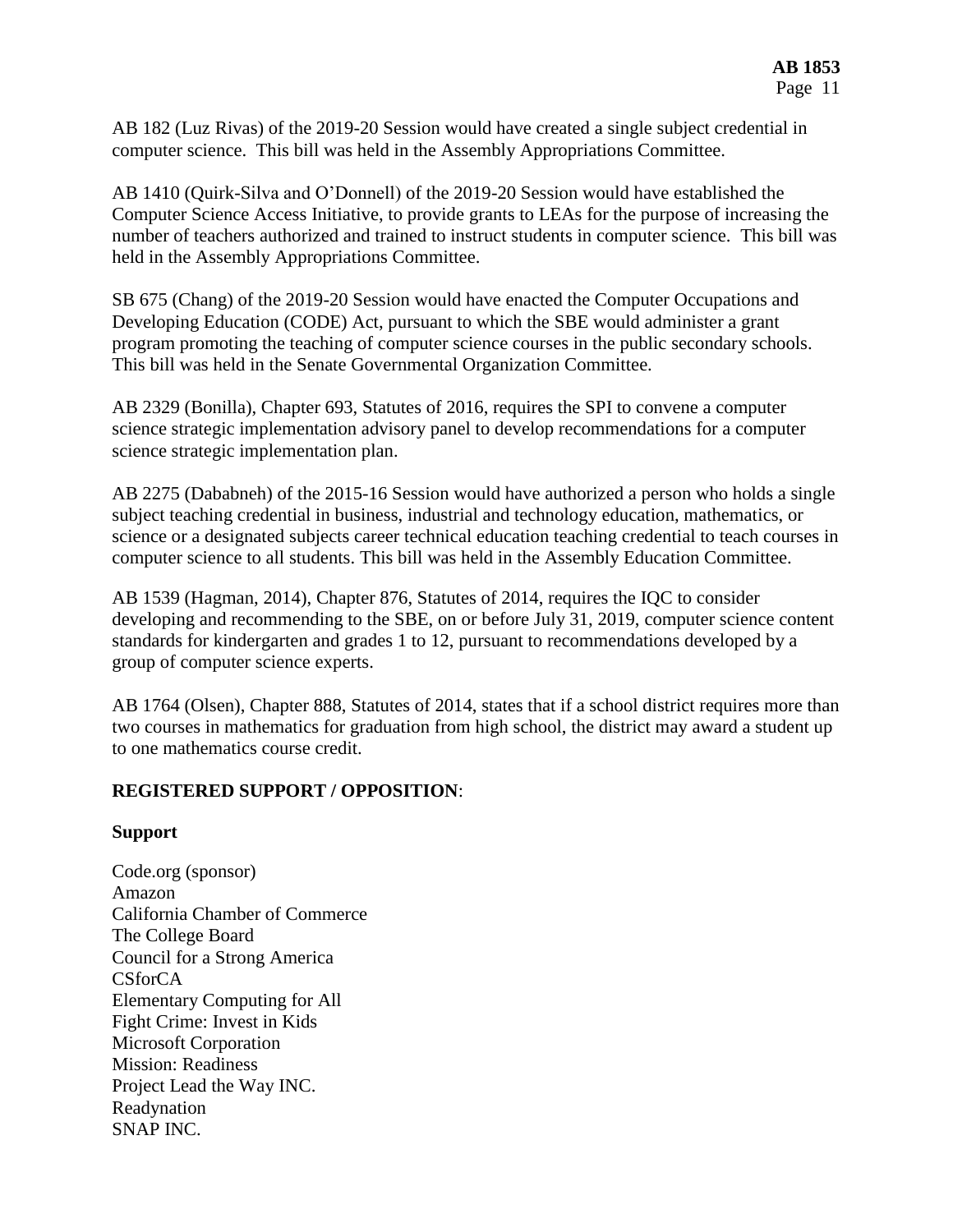AB 182 (Luz Rivas) of the 2019-20 Session would have created a single subject credential in computer science. This bill was held in the Assembly Appropriations Committee.

AB 1410 (Quirk-Silva and O'Donnell) of the 2019-20 Session would have established the Computer Science Access Initiative, to provide grants to LEAs for the purpose of increasing the number of teachers authorized and trained to instruct students in computer science. This bill was held in the Assembly Appropriations Committee.

SB 675 (Chang) of the 2019-20 Session would have enacted the Computer Occupations and Developing Education (CODE) Act, pursuant to which the SBE would administer a grant program promoting the teaching of computer science courses in the public secondary schools. This bill was held in the Senate Governmental Organization Committee.

AB 2329 (Bonilla), Chapter 693, Statutes of 2016, requires the SPI to convene a computer science strategic implementation advisory panel to develop recommendations for a computer science strategic implementation plan.

AB 2275 (Dababneh) of the 2015-16 Session would have authorized a person who holds a single subject teaching credential in business, industrial and technology education, mathematics, or science or a designated subjects career technical education teaching credential to teach courses in computer science to all students. This bill was held in the Assembly Education Committee.

AB 1539 (Hagman, 2014), Chapter 876, Statutes of 2014, requires the IQC to consider developing and recommending to the SBE, on or before July 31, 2019, computer science content standards for kindergarten and grades 1 to 12, pursuant to recommendations developed by a group of computer science experts.

AB 1764 (Olsen), Chapter 888, Statutes of 2014, states that if a school district requires more than two courses in mathematics for graduation from high school, the district may award a student up to one mathematics course credit.

## **REGISTERED SUPPORT / OPPOSITION**:

#### **Support**

Code.org (sponsor) Amazon California Chamber of Commerce The College Board Council for a Strong America CSforCA Elementary Computing for All Fight Crime: Invest in Kids Microsoft Corporation Mission: Readiness Project Lead the Way INC. Readynation SNAP INC.